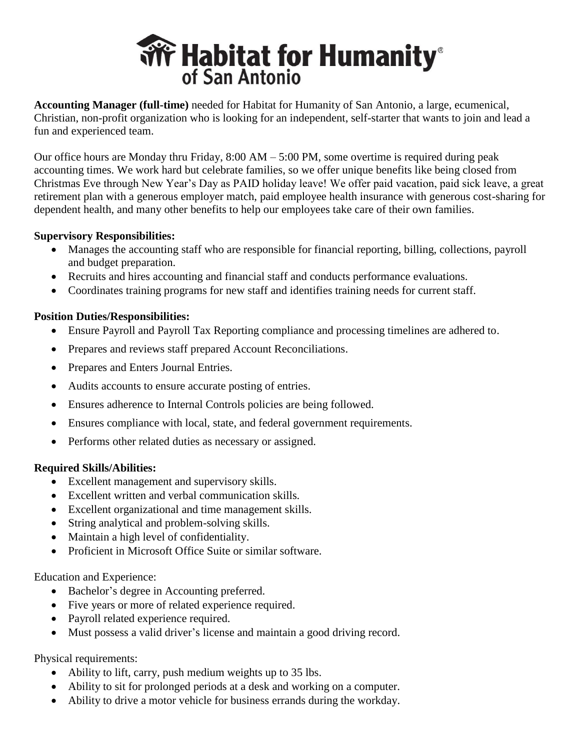

**Accounting Manager (full-time)** needed for Habitat for Humanity of San Antonio, a large, ecumenical, Christian, non-profit organization who is looking for an independent, self-starter that wants to join and lead a fun and experienced team.

Our office hours are Monday thru Friday,  $8:00 \text{ AM} - 5:00 \text{ PM}$ , some overtime is required during peak accounting times. We work hard but celebrate families, so we offer unique benefits like being closed from Christmas Eve through New Year's Day as PAID holiday leave! We offer paid vacation, paid sick leave, a great retirement plan with a generous employer match, paid employee health insurance with generous cost-sharing for dependent health, and many other benefits to help our employees take care of their own families.

### **Supervisory Responsibilities:**

- Manages the accounting staff who are responsible for financial reporting, billing, collections, payroll and budget preparation.
- Recruits and hires accounting and financial staff and conducts performance evaluations.
- Coordinates training programs for new staff and identifies training needs for current staff.

## **Position Duties/Responsibilities:**

- Ensure Payroll and Payroll Tax Reporting compliance and processing timelines are adhered to.
- Prepares and reviews staff prepared Account Reconciliations.
- Prepares and Enters Journal Entries.
- Audits accounts to ensure accurate posting of entries.
- Ensures adherence to Internal Controls policies are being followed.
- Ensures compliance with local, state, and federal government requirements.
- Performs other related duties as necessary or assigned.

## **Required Skills/Abilities:**

- Excellent management and supervisory skills.
- Excellent written and verbal communication skills.
- Excellent organizational and time management skills.
- String analytical and problem-solving skills.
- Maintain a high level of confidentiality.
- Proficient in Microsoft Office Suite or similar software.

## Education and Experience:

- Bachelor's degree in Accounting preferred.
- Five years or more of related experience required.
- Payroll related experience required.
- Must possess a valid driver's license and maintain a good driving record.

# Physical requirements:

- Ability to lift, carry, push medium weights up to 35 lbs.
- Ability to sit for prolonged periods at a desk and working on a computer.
- Ability to drive a motor vehicle for business errands during the workday.